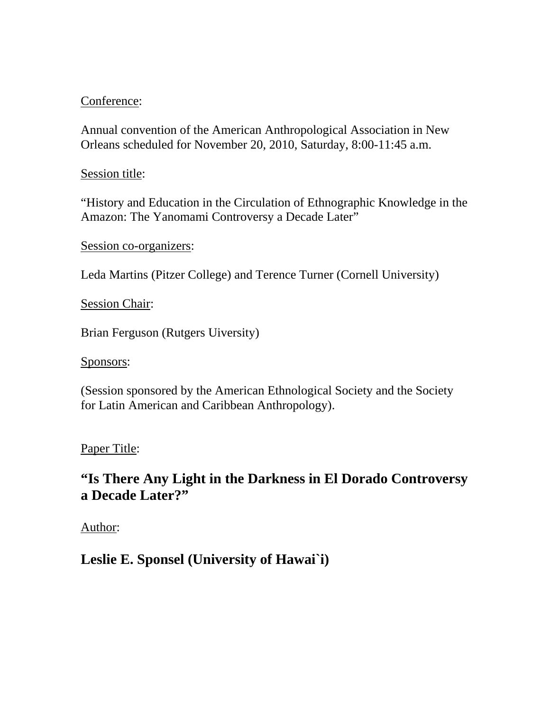# Conference:

Annual convention of the American Anthropological Association in New Orleans scheduled for November 20, 2010, Saturday, 8:00-11:45 a.m.

## Session title:

"History and Education in the Circulation of Ethnographic Knowledge in the Amazon: The Yanomami Controversy a Decade Later"

Session co-organizers:

Leda Martins (Pitzer College) and Terence Turner (Cornell University)

Session Chair:

Brian Ferguson (Rutgers Uiversity)

Sponsors:

(Session sponsored by the American Ethnological Society and the Society for Latin American and Caribbean Anthropology).

# Paper Title:

# **"Is There Any Light in the Darkness in El Dorado Controversy a Decade Later?"**

Author:

**Leslie E. Sponsel (University of Hawai`i)**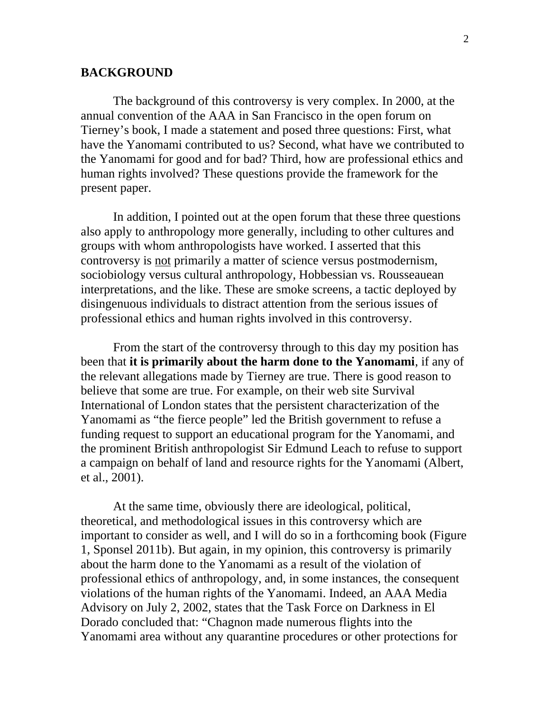#### **BACKGROUND**

 The background of this controversy is very complex. In 2000, at the annual convention of the AAA in San Francisco in the open forum on Tierney's book, I made a statement and posed three questions: First, what have the Yanomami contributed to us? Second, what have we contributed to the Yanomami for good and for bad? Third, how are professional ethics and human rights involved? These questions provide the framework for the present paper.

In addition, I pointed out at the open forum that these three questions also apply to anthropology more generally, including to other cultures and groups with whom anthropologists have worked. I asserted that this controversy is not primarily a matter of science versus postmodernism, sociobiology versus cultural anthropology, Hobbessian vs. Rousseauean interpretations, and the like. These are smoke screens, a tactic deployed by disingenuous individuals to distract attention from the serious issues of professional ethics and human rights involved in this controversy.

From the start of the controversy through to this day my position has been that **it is primarily about the harm done to the Yanomami**, if any of the relevant allegations made by Tierney are true. There is good reason to believe that some are true. For example, on their web site Survival International of London states that the persistent characterization of the Yanomami as "the fierce people" led the British government to refuse a funding request to support an educational program for the Yanomami, and the prominent British anthropologist Sir Edmund Leach to refuse to support a campaign on behalf of land and resource rights for the Yanomami (Albert, et al., 2001).

At the same time, obviously there are ideological, political, theoretical, and methodological issues in this controversy which are important to consider as well, and I will do so in a forthcoming book (Figure 1, Sponsel 2011b). But again, in my opinion, this controversy is primarily about the harm done to the Yanomami as a result of the violation of professional ethics of anthropology, and, in some instances, the consequent violations of the human rights of the Yanomami. Indeed, an AAA Media Advisory on July 2, 2002, states that the Task Force on Darkness in El Dorado concluded that: "Chagnon made numerous flights into the Yanomami area without any quarantine procedures or other protections for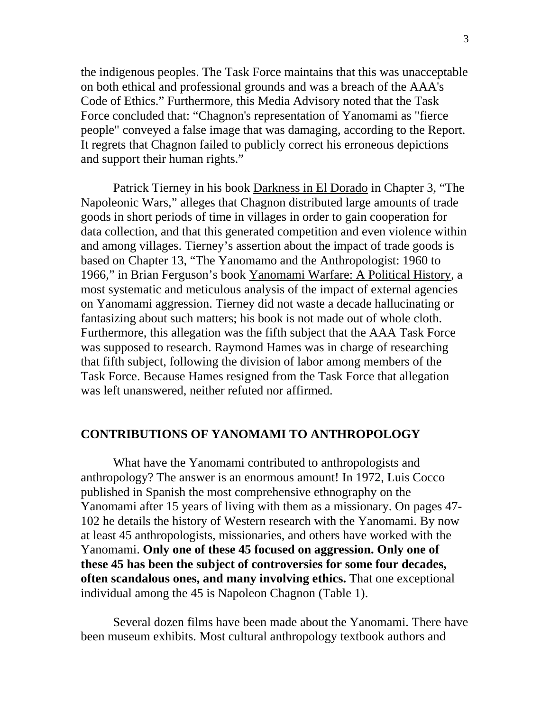the indigenous peoples. The Task Force maintains that this was unacceptable on both ethical and professional grounds and was a breach of the AAA's Code of Ethics." Furthermore, this Media Advisory noted that the Task Force concluded that: "Chagnon's representation of Yanomami as "fierce people" conveyed a false image that was damaging, according to the Report. It regrets that Chagnon failed to publicly correct his erroneous depictions and support their human rights."

Patrick Tierney in his book Darkness in El Dorado in Chapter 3, "The Napoleonic Wars," alleges that Chagnon distributed large amounts of trade goods in short periods of time in villages in order to gain cooperation for data collection, and that this generated competition and even violence within and among villages. Tierney's assertion about the impact of trade goods is based on Chapter 13, "The Yanomamo and the Anthropologist: 1960 to 1966," in Brian Ferguson's book Yanomami Warfare: A Political History, a most systematic and meticulous analysis of the impact of external agencies on Yanomami aggression. Tierney did not waste a decade hallucinating or fantasizing about such matters; his book is not made out of whole cloth. Furthermore, this allegation was the fifth subject that the AAA Task Force was supposed to research. Raymond Hames was in charge of researching that fifth subject, following the division of labor among members of the Task Force. Because Hames resigned from the Task Force that allegation was left unanswered, neither refuted nor affirmed.

#### **CONTRIBUTIONS OF YANOMAMI TO ANTHROPOLOGY**

What have the Yanomami contributed to anthropologists and anthropology? The answer is an enormous amount! In 1972, Luis Cocco published in Spanish the most comprehensive ethnography on the Yanomami after 15 years of living with them as a missionary. On pages 47- 102 he details the history of Western research with the Yanomami. By now at least 45 anthropologists, missionaries, and others have worked with the Yanomami. **Only one of these 45 focused on aggression. Only one of these 45 has been the subject of controversies for some four decades, often scandalous ones, and many involving ethics.** That one exceptional individual among the 45 is Napoleon Chagnon (Table 1).

Several dozen films have been made about the Yanomami. There have been museum exhibits. Most cultural anthropology textbook authors and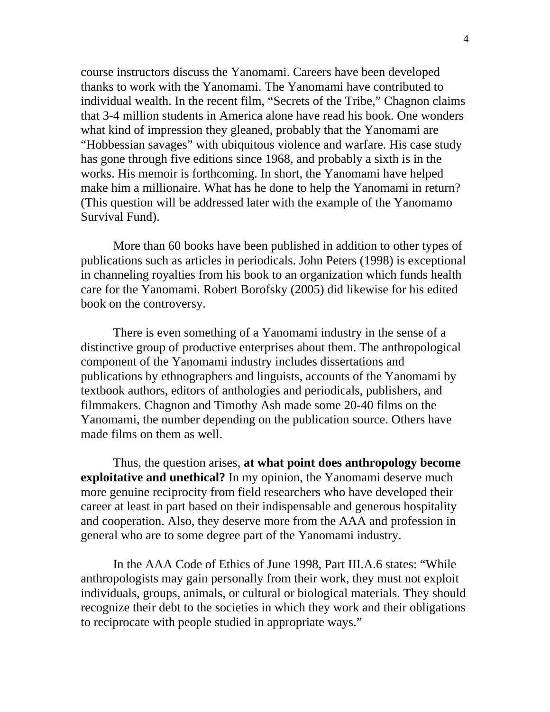course instructors discuss the Yanomami. Careers have been developed thanks to work with the Yanomami. The Yanomami have contributed to individual wealth. In the recent film, "Secrets of the Tribe," Chagnon claims that 3-4 million students in America alone have read his book. One wonders what kind of impression they gleaned, probably that the Yanomami are "Hobbessian savages" with ubiquitous violence and warfare. His case study has gone through five editions since 1968, and probably a sixth is in the works. His memoir is forthcoming. In short, the Yanomami have helped make him a millionaire. What has he done to help the Yanomami in return? (This question will be addressed later with the example of the Yanomamo Survival Fund).

 More than 60 books have been published in addition to other types of publications such as articles in periodicals. John Peters (1998) is exceptional in channeling royalties from his book to an organization which funds health care for the Yanomami. Robert Borofsky (2005) did likewise for his edited book on the controversy.

There is even something of a Yanomami industry in the sense of a distinctive group of productive enterprises about them. The anthropological component of the Yanomami industry includes dissertations and publications by ethnographers and linguists, accounts of the Yanomami by textbook authors, editors of anthologies and periodicals, publishers, and filmmakers. Chagnon and Timothy Ash made some 20-40 films on the Yanomami, the number depending on the publication source. Others have made films on them as well.

Thus, the question arises, **at what point does anthropology become exploitative and unethical?** In my opinion, the Yanomami deserve much more genuine reciprocity from field researchers who have developed their career at least in part based on their indispensable and generous hospitality and cooperation. Also, they deserve more from the AAA and profession in general who are to some degree part of the Yanomami industry.

In the AAA Code of Ethics of June 1998, Part III.A.6 states: "While anthropologists may gain personally from their work, they must not exploit individuals, groups, animals, or cultural or biological materials. They should recognize their debt to the societies in which they work and their obligations to reciprocate with people studied in appropriate ways."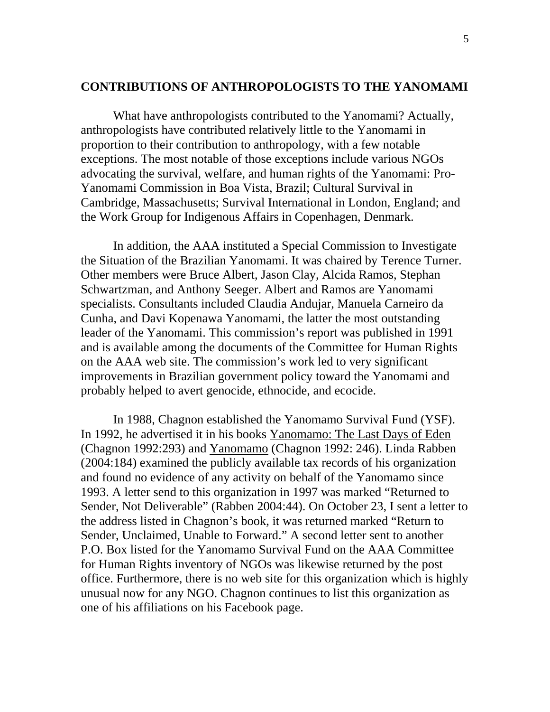### **CONTRIBUTIONS OF ANTHROPOLOGISTS TO THE YANOMAMI**

What have anthropologists contributed to the Yanomami? Actually, anthropologists have contributed relatively little to the Yanomami in proportion to their contribution to anthropology, with a few notable exceptions. The most notable of those exceptions include various NGOs advocating the survival, welfare, and human rights of the Yanomami: Pro-Yanomami Commission in Boa Vista, Brazil; Cultural Survival in Cambridge, Massachusetts; Survival International in London, England; and the Work Group for Indigenous Affairs in Copenhagen, Denmark.

In addition, the AAA instituted a Special Commission to Investigate the Situation of the Brazilian Yanomami. It was chaired by Terence Turner. Other members were Bruce Albert, Jason Clay, Alcida Ramos, Stephan Schwartzman, and Anthony Seeger. Albert and Ramos are Yanomami specialists. Consultants included Claudia Andujar, Manuela Carneiro da Cunha, and Davi Kopenawa Yanomami, the latter the most outstanding leader of the Yanomami. This commission's report was published in 1991 and is available among the documents of the Committee for Human Rights on the AAA web site. The commission's work led to very significant improvements in Brazilian government policy toward the Yanomami and probably helped to avert genocide, ethnocide, and ecocide.

In 1988, Chagnon established the Yanomamo Survival Fund (YSF). In 1992, he advertised it in his books Yanomamo: The Last Days of Eden (Chagnon 1992:293) and Yanomamo (Chagnon 1992: 246). Linda Rabben (2004:184) examined the publicly available tax records of his organization and found no evidence of any activity on behalf of the Yanomamo since 1993. A letter send to this organization in 1997 was marked "Returned to Sender, Not Deliverable" (Rabben 2004:44). On October 23, I sent a letter to the address listed in Chagnon's book, it was returned marked "Return to Sender, Unclaimed, Unable to Forward." A second letter sent to another P.O. Box listed for the Yanomamo Survival Fund on the AAA Committee for Human Rights inventory of NGOs was likewise returned by the post office. Furthermore, there is no web site for this organization which is highly unusual now for any NGO. Chagnon continues to list this organization as one of his affiliations on his Facebook page.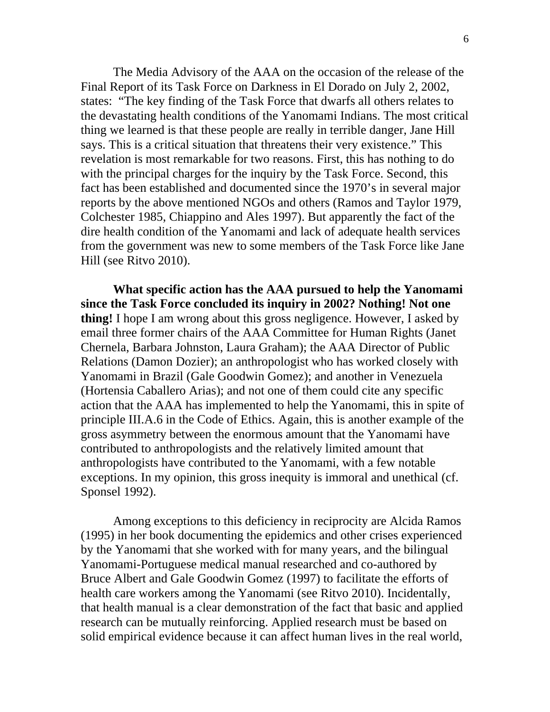The Media Advisory of the AAA on the occasion of the release of the Final Report of its Task Force on Darkness in El Dorado on July 2, 2002, states: "The key finding of the Task Force that dwarfs all others relates to the devastating health conditions of the Yanomami Indians. The most critical thing we learned is that these people are really in terrible danger, Jane Hill says. This is a critical situation that threatens their very existence." This revelation is most remarkable for two reasons. First, this has nothing to do with the principal charges for the inquiry by the Task Force. Second, this fact has been established and documented since the 1970's in several major reports by the above mentioned NGOs and others (Ramos and Taylor 1979, Colchester 1985, Chiappino and Ales 1997). But apparently the fact of the dire health condition of the Yanomami and lack of adequate health services from the government was new to some members of the Task Force like Jane Hill (see Ritvo 2010).

**What specific action has the AAA pursued to help the Yanomami since the Task Force concluded its inquiry in 2002? Nothing! Not one thing!** I hope I am wrong about this gross negligence. However, I asked by email three former chairs of the AAA Committee for Human Rights (Janet Chernela, Barbara Johnston, Laura Graham); the AAA Director of Public Relations (Damon Dozier); an anthropologist who has worked closely with Yanomami in Brazil (Gale Goodwin Gomez); and another in Venezuela (Hortensia Caballero Arias); and not one of them could cite any specific action that the AAA has implemented to help the Yanomami, this in spite of principle III.A.6 in the Code of Ethics. Again, this is another example of the gross asymmetry between the enormous amount that the Yanomami have contributed to anthropologists and the relatively limited amount that anthropologists have contributed to the Yanomami, with a few notable exceptions. In my opinion, this gross inequity is immoral and unethical (cf. Sponsel 1992).

Among exceptions to this deficiency in reciprocity are Alcida Ramos (1995) in her book documenting the epidemics and other crises experienced by the Yanomami that she worked with for many years, and the bilingual Yanomami-Portuguese medical manual researched and co-authored by Bruce Albert and Gale Goodwin Gomez (1997) to facilitate the efforts of health care workers among the Yanomami (see Ritvo 2010). Incidentally, that health manual is a clear demonstration of the fact that basic and applied research can be mutually reinforcing. Applied research must be based on solid empirical evidence because it can affect human lives in the real world,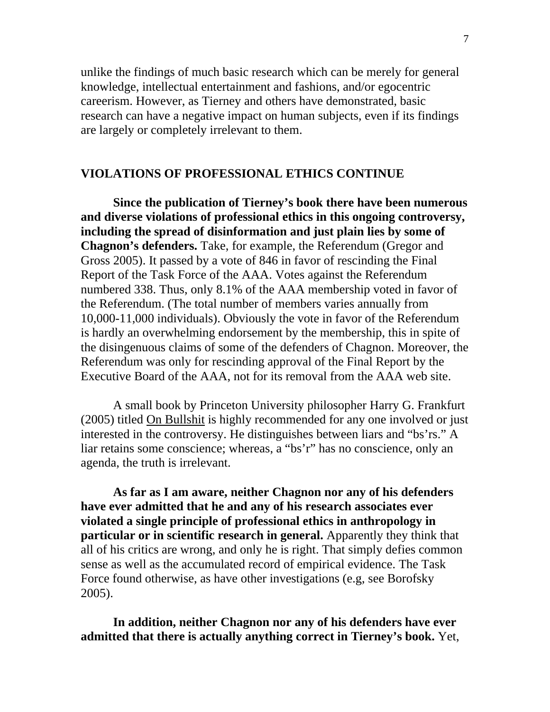unlike the findings of much basic research which can be merely for general knowledge, intellectual entertainment and fashions, and/or egocentric careerism. However, as Tierney and others have demonstrated, basic research can have a negative impact on human subjects, even if its findings are largely or completely irrelevant to them.

## **VIOLATIONS OF PROFESSIONAL ETHICS CONTINUE**

**Since the publication of Tierney's book there have been numerous and diverse violations of professional ethics in this ongoing controversy, including the spread of disinformation and just plain lies by some of Chagnon's defenders.** Take, for example, the Referendum (Gregor and Gross 2005). It passed by a vote of 846 in favor of rescinding the Final Report of the Task Force of the AAA. Votes against the Referendum numbered 338. Thus, only 8.1% of the AAA membership voted in favor of the Referendum. (The total number of members varies annually from 10,000-11,000 individuals). Obviously the vote in favor of the Referendum is hardly an overwhelming endorsement by the membership, this in spite of the disingenuous claims of some of the defenders of Chagnon. Moreover, the Referendum was only for rescinding approval of the Final Report by the Executive Board of the AAA, not for its removal from the AAA web site.

 A small book by Princeton University philosopher Harry G. Frankfurt (2005) titled On Bullshit is highly recommended for any one involved or just interested in the controversy. He distinguishes between liars and "bs'rs." A liar retains some conscience; whereas, a "bs'r" has no conscience, only an agenda, the truth is irrelevant.

**As far as I am aware, neither Chagnon nor any of his defenders have ever admitted that he and any of his research associates ever violated a single principle of professional ethics in anthropology in particular or in scientific research in general.** Apparently they think that all of his critics are wrong, and only he is right. That simply defies common sense as well as the accumulated record of empirical evidence. The Task Force found otherwise, as have other investigations (e.g, see Borofsky 2005).

**In addition, neither Chagnon nor any of his defenders have ever admitted that there is actually anything correct in Tierney's book.** Yet,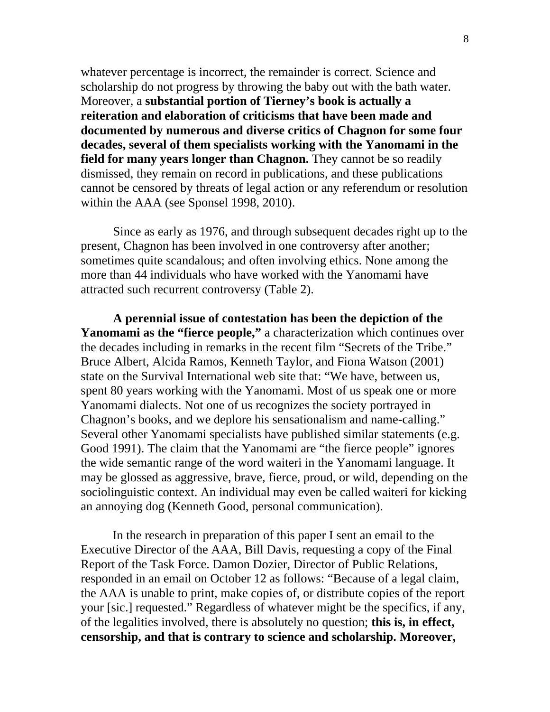whatever percentage is incorrect, the remainder is correct. Science and scholarship do not progress by throwing the baby out with the bath water. Moreover, a **substantial portion of Tierney's book is actually a reiteration and elaboration of criticisms that have been made and documented by numerous and diverse critics of Chagnon for some four decades, several of them specialists working with the Yanomami in the field for many years longer than Chagnon.** They cannot be so readily dismissed, they remain on record in publications, and these publications cannot be censored by threats of legal action or any referendum or resolution within the AAA (see Sponsel 1998, 2010).

Since as early as 1976, and through subsequent decades right up to the present, Chagnon has been involved in one controversy after another; sometimes quite scandalous; and often involving ethics. None among the more than 44 individuals who have worked with the Yanomami have attracted such recurrent controversy (Table 2).

**A perennial issue of contestation has been the depiction of the**  Yanomami as the "fierce people," a characterization which continues over the decades including in remarks in the recent film "Secrets of the Tribe." Bruce Albert, Alcida Ramos, Kenneth Taylor, and Fiona Watson (2001) state on the Survival International web site that: "We have, between us, spent 80 years working with the Yanomami. Most of us speak one or more Yanomami dialects. Not one of us recognizes the society portrayed in Chagnon's books, and we deplore his sensationalism and name-calling." Several other Yanomami specialists have published similar statements (e.g. Good 1991). The claim that the Yanomami are "the fierce people" ignores the wide semantic range of the word waiteri in the Yanomami language. It may be glossed as aggressive, brave, fierce, proud, or wild, depending on the sociolinguistic context. An individual may even be called waiteri for kicking an annoying dog (Kenneth Good, personal communication).

 In the research in preparation of this paper I sent an email to the Executive Director of the AAA, Bill Davis, requesting a copy of the Final Report of the Task Force. Damon Dozier, Director of Public Relations, responded in an email on October 12 as follows: "Because of a legal claim, the AAA is unable to print, make copies of, or distribute copies of the report your [sic.] requested." Regardless of whatever might be the specifics, if any, of the legalities involved, there is absolutely no question; **this is, in effect, censorship, and that is contrary to science and scholarship. Moreover,**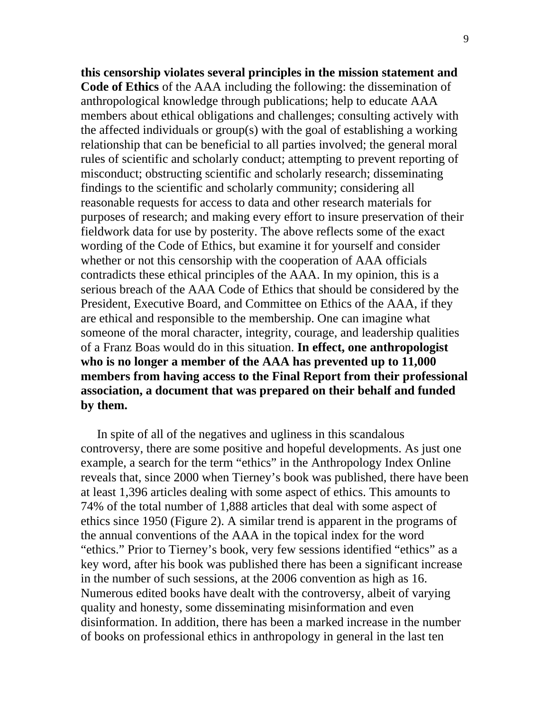**this censorship violates several principles in the mission statement and Code of Ethics** of the AAA including the following: the dissemination of anthropological knowledge through publications; help to educate AAA members about ethical obligations and challenges; consulting actively with the affected individuals or group(s) with the goal of establishing a working relationship that can be beneficial to all parties involved; the general moral rules of scientific and scholarly conduct; attempting to prevent reporting of misconduct; obstructing scientific and scholarly research; disseminating findings to the scientific and scholarly community; considering all reasonable requests for access to data and other research materials for purposes of research; and making every effort to insure preservation of their fieldwork data for use by posterity. The above reflects some of the exact wording of the Code of Ethics, but examine it for yourself and consider whether or not this censorship with the cooperation of AAA officials contradicts these ethical principles of the AAA. In my opinion, this is a serious breach of the AAA Code of Ethics that should be considered by the President, Executive Board, and Committee on Ethics of the AAA, if they are ethical and responsible to the membership. One can imagine what someone of the moral character, integrity, courage, and leadership qualities of a Franz Boas would do in this situation. **In effect, one anthropologist who is no longer a member of the AAA has prevented up to 11,000 members from having access to the Final Report from their professional association, a document that was prepared on their behalf and funded by them.** 

In spite of all of the negatives and ugliness in this scandalous controversy, there are some positive and hopeful developments. As just one example, a search for the term "ethics" in the Anthropology Index Online reveals that, since 2000 when Tierney's book was published, there have been at least 1,396 articles dealing with some aspect of ethics. This amounts to 74% of the total number of 1,888 articles that deal with some aspect of ethics since 1950 (Figure 2). A similar trend is apparent in the programs of the annual conventions of the AAA in the topical index for the word "ethics." Prior to Tierney's book, very few sessions identified "ethics" as a key word, after his book was published there has been a significant increase in the number of such sessions, at the 2006 convention as high as 16. Numerous edited books have dealt with the controversy, albeit of varying quality and honesty, some disseminating misinformation and even disinformation. In addition, there has been a marked increase in the number of books on professional ethics in anthropology in general in the last ten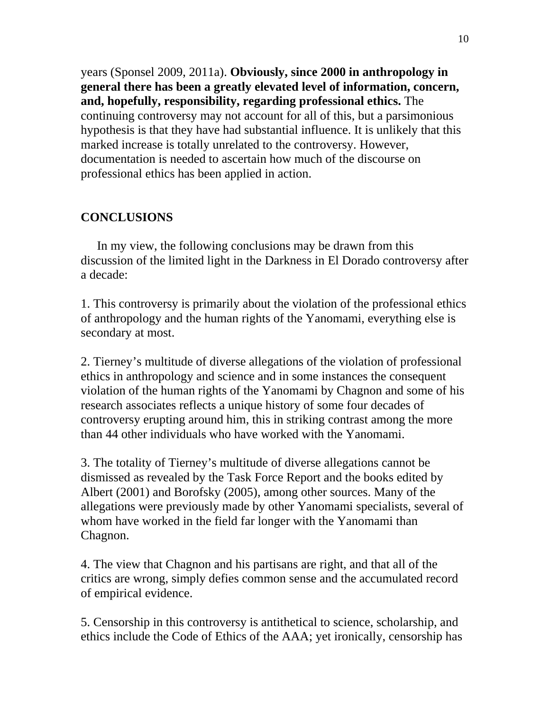years (Sponsel 2009, 2011a). **Obviously, since 2000 in anthropology in general there has been a greatly elevated level of information, concern, and, hopefully, responsibility, regarding professional ethics.** The continuing controversy may not account for all of this, but a parsimonious hypothesis is that they have had substantial influence. It is unlikely that this marked increase is totally unrelated to the controversy. However, documentation is needed to ascertain how much of the discourse on professional ethics has been applied in action.

## **CONCLUSIONS**

In my view, the following conclusions may be drawn from this discussion of the limited light in the Darkness in El Dorado controversy after a decade:

1. This controversy is primarily about the violation of the professional ethics of anthropology and the human rights of the Yanomami, everything else is secondary at most.

2. Tierney's multitude of diverse allegations of the violation of professional ethics in anthropology and science and in some instances the consequent violation of the human rights of the Yanomami by Chagnon and some of his research associates reflects a unique history of some four decades of controversy erupting around him, this in striking contrast among the more than 44 other individuals who have worked with the Yanomami.

3. The totality of Tierney's multitude of diverse allegations cannot be dismissed as revealed by the Task Force Report and the books edited by Albert (2001) and Borofsky (2005), among other sources. Many of the allegations were previously made by other Yanomami specialists, several of whom have worked in the field far longer with the Yanomami than Chagnon.

4. The view that Chagnon and his partisans are right, and that all of the critics are wrong, simply defies common sense and the accumulated record of empirical evidence.

5. Censorship in this controversy is antithetical to science, scholarship, and ethics include the Code of Ethics of the AAA; yet ironically, censorship has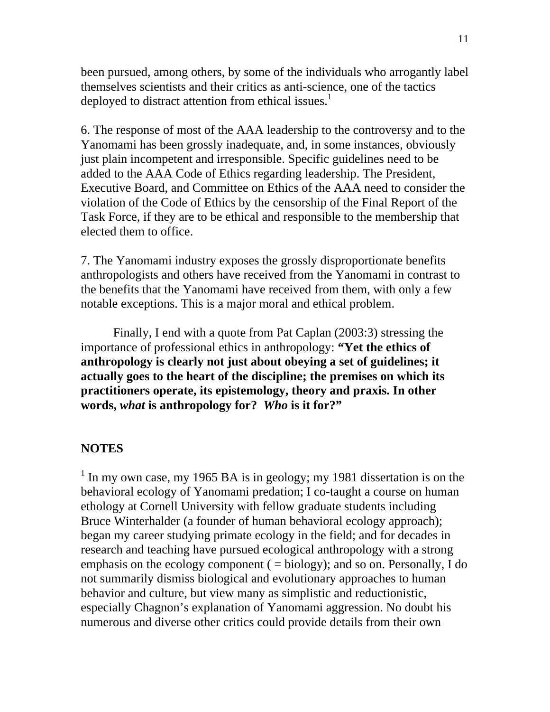been pursued, among others, by some of the individuals who arrogantly label themselves scientists and their critics as anti-science, one of the tactics deployed to distract attention from ethical issues.<sup>1</sup>

6. The response of most of the AAA leadership to the controversy and to the Yanomami has been grossly inadequate, and, in some instances, obviously just plain incompetent and irresponsible. Specific guidelines need to be added to the AAA Code of Ethics regarding leadership. The President, Executive Board, and Committee on Ethics of the AAA need to consider the violation of the Code of Ethics by the censorship of the Final Report of the Task Force, if they are to be ethical and responsible to the membership that elected them to office.

7. The Yanomami industry exposes the grossly disproportionate benefits anthropologists and others have received from the Yanomami in contrast to the benefits that the Yanomami have received from them, with only a few notable exceptions. This is a major moral and ethical problem.

 Finally, I end with a quote from Pat Caplan (2003:3) stressing the importance of professional ethics in anthropology: **"Yet the ethics of anthropology is clearly not just about obeying a set of guidelines; it actually goes to the heart of the discipline; the premises on which its practitioners operate, its epistemology, theory and praxis. In other words,** *what* **is anthropology for?** *Who* **is it for?"** 

#### **NOTES**

<sup>1</sup> In my own case, my 1965 BA is in geology; my 1981 dissertation is on the behavioral ecology of Yanomami predation; I co-taught a course on human ethology at Cornell University with fellow graduate students including Bruce Winterhalder (a founder of human behavioral ecology approach); began my career studying primate ecology in the field; and for decades in research and teaching have pursued ecological anthropology with a strong emphasis on the ecology component  $( = \text{biology})$ ; and so on. Personally, I do not summarily dismiss biological and evolutionary approaches to human behavior and culture, but view many as simplistic and reductionistic, especially Chagnon's explanation of Yanomami aggression. No doubt his numerous and diverse other critics could provide details from their own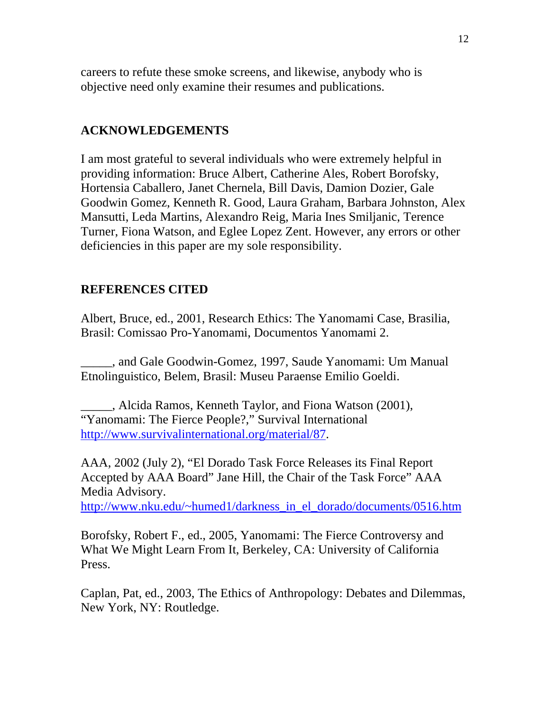careers to refute these smoke screens, and likewise, anybody who is objective need only examine their resumes and publications.

## **ACKNOWLEDGEMENTS**

I am most grateful to several individuals who were extremely helpful in providing information: Bruce Albert, Catherine Ales, Robert Borofsky, Hortensia Caballero, Janet Chernela, Bill Davis, Damion Dozier, Gale Goodwin Gomez, Kenneth R. Good, Laura Graham, Barbara Johnston, Alex Mansutti, Leda Martins, Alexandro Reig, Maria Ines Smiljanic, Terence Turner, Fiona Watson, and Eglee Lopez Zent. However, any errors or other deficiencies in this paper are my sole responsibility.

## **REFERENCES CITED**

Albert, Bruce, ed., 2001, Research Ethics: The Yanomami Case, Brasilia, Brasil: Comissao Pro-Yanomami, Documentos Yanomami 2.

\_\_\_\_\_, and Gale Goodwin-Gomez, 1997, Saude Yanomami: Um Manual Etnolinguistico, Belem, Brasil: Museu Paraense Emilio Goeldi.

\_\_\_\_\_, Alcida Ramos, Kenneth Taylor, and Fiona Watson (2001), "Yanomami: The Fierce People?," Survival International [http://www.survivalinternational.org/material/87.](http://www.survivalinternational.org/material/87)

AAA, 2002 (July 2), "El Dorado Task Force Releases its Final Report Accepted by AAA Board" Jane Hill, the Chair of the Task Force" AAA Media Advisory.

[http://www.nku.edu/~humed1/darkness\\_in\\_el\\_dorado/documents/0516.htm](http://www.nku.edu/%7Ehumed1/darkness_in_el_dorado/documents/0516.htm)

Borofsky, Robert F., ed., 2005, Yanomami: The Fierce Controversy and What We Might Learn From It, Berkeley, CA: University of California Press.

Caplan, Pat, ed., 2003, The Ethics of Anthropology: Debates and Dilemmas, New York, NY: Routledge.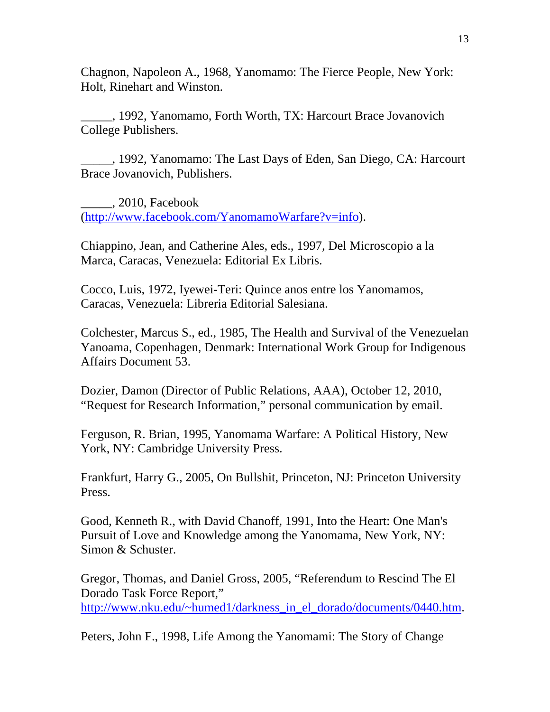Chagnon, Napoleon A., 1968, Yanomamo: The Fierce People, New York: Holt, Rinehart and Winston.

\_\_\_\_\_, 1992, Yanomamo, Forth Worth, TX: Harcourt Brace Jovanovich College Publishers.

\_\_\_\_\_, 1992, Yanomamo: The Last Days of Eden, San Diego, CA: Harcourt Brace Jovanovich, Publishers.

\_\_\_\_\_, 2010, Facebook ([http://www.facebook.com/YanomamoWarfare?v=info\)](http://www.facebook.com/YanomamoWarfare?v=info).

Chiappino, Jean, and Catherine Ales, eds., 1997, Del Microscopio a la Marca, Caracas, Venezuela: Editorial Ex Libris.

Cocco, Luis, 1972, Iyewei-Teri: Quince anos entre los Yanomamos, Caracas, Venezuela: Libreria Editorial Salesiana.

Colchester, Marcus S., ed., 1985, The Health and Survival of the Venezuelan Yanoama, Copenhagen, Denmark: International Work Group for Indigenous Affairs Document 53.

Dozier, Damon (Director of Public Relations, AAA), October 12, 2010, "Request for Research Information," personal communication by email.

Ferguson, R. Brian, 1995, Yanomama Warfare: A Political History, New York, NY: Cambridge University Press.

Frankfurt, Harry G., 2005, On Bullshit, Princeton, NJ: Princeton University Press.

Good, Kenneth R., with David Chanoff, 1991, Into the Heart: One Man's Pursuit of Love and Knowledge among the Yanomama, New York, NY: Simon & Schuster.

Gregor, Thomas, and Daniel Gross, 2005, "Referendum to Rescind The El Dorado Task Force Report," [http://www.nku.edu/~humed1/darkness\\_in\\_el\\_dorado/documents/0440.htm.](http://www.nku.edu/%7Ehumed1/darkness_in_el_dorado/documents/0440.htm)

Peters, John F., 1998, Life Among the Yanomami: The Story of Change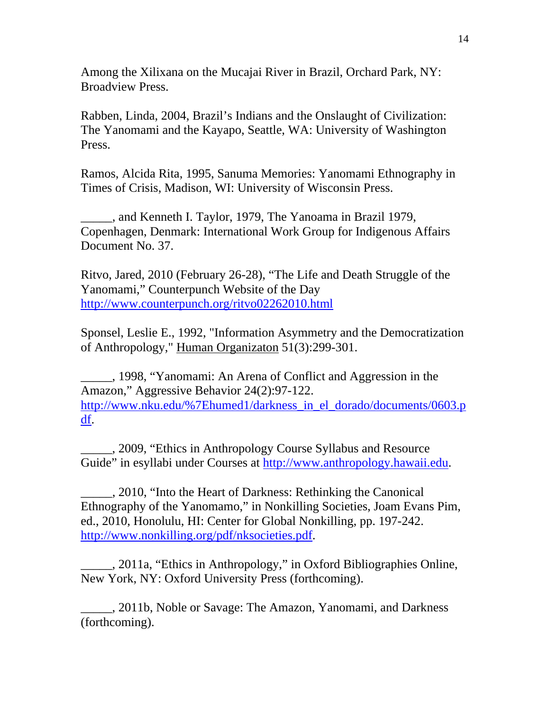Among the Xilixana on the Mucajai River in Brazil, Orchard Park, NY: Broadview Press.

Rabben, Linda, 2004, Brazil's Indians and the Onslaught of Civilization: The Yanomami and the Kayapo, Seattle, WA: University of Washington Press.

Ramos, Alcida Rita, 1995, Sanuma Memories: Yanomami Ethnography in Times of Crisis, Madison, WI: University of Wisconsin Press.

\_\_\_\_\_, and Kenneth I. Taylor, 1979, The Yanoama in Brazil 1979, Copenhagen, Denmark: International Work Group for Indigenous Affairs Document No. 37.

Ritvo, Jared, 2010 (February 26-28), "The Life and Death Struggle of the Yanomami," Counterpunch Website of the Day <http://www.counterpunch.org/ritvo02262010.html>

Sponsel, Leslie E., 1992, "Information Asymmetry and the Democratization of Anthropology," Human Organizaton 51(3):299-301.

\_\_\_\_\_, 1998, "Yanomami: An Arena of Conflict and Aggression in the Amazon," Aggressive Behavior 24(2):97-122. [http://www.nku.edu/%7Ehumed1/darkness\\_in\\_el\\_dorado/documents/0603.p](http://www.nku.edu/%7Ehumed1/darkness_in_el_dorado/documents/0603.pdf) [df.](http://www.nku.edu/%7Ehumed1/darkness_in_el_dorado/documents/0603.pdf)

\_\_\_\_\_, 2009, "Ethics in Anthropology Course Syllabus and Resource Guide" in esyllabi under Courses at [http://www.anthropology.hawaii.edu](http://www.anthropology.hawaii.edu/).

\_\_\_\_\_, 2010, "Into the Heart of Darkness: Rethinking the Canonical Ethnography of the Yanomamo," in Nonkilling Societies, Joam Evans Pim, ed., 2010, Honolulu, HI: Center for Global Nonkilling, pp. 197-242. [http://www.nonkilling.org/pdf/nksocieties.pdf.](http://www.nonkilling.org/pdf/nksocieties.pdf)

\_\_\_\_\_, 2011a, "Ethics in Anthropology," in Oxford Bibliographies Online, New York, NY: Oxford University Press (forthcoming).

\_\_\_\_\_, 2011b, Noble or Savage: The Amazon, Yanomami, and Darkness (forthcoming).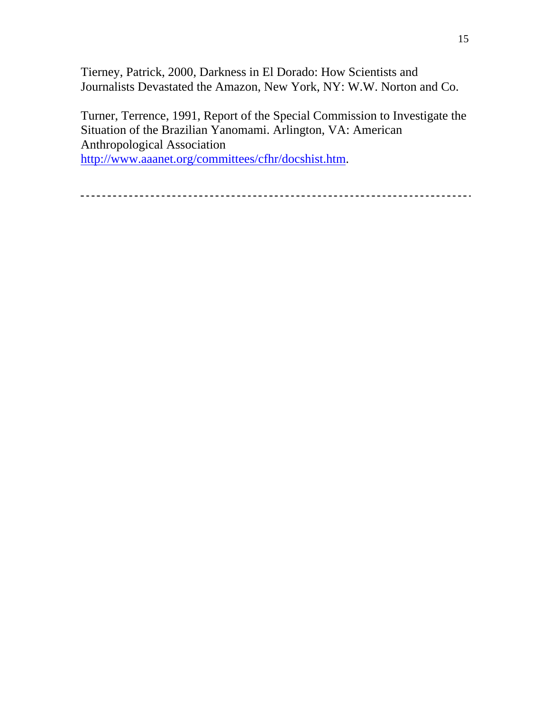Tierney, Patrick, 2000, Darkness in El Dorado: How Scientists and Journalists Devastated the Amazon, New York, NY: W.W. Norton and Co.

Turner, Terrence, 1991, Report of the Special Commission to Investigate the Situation of the Brazilian Yanomami. Arlington, VA: American Anthropological Association <http://www.aaanet.org/committees/cfhr/docshist.htm>.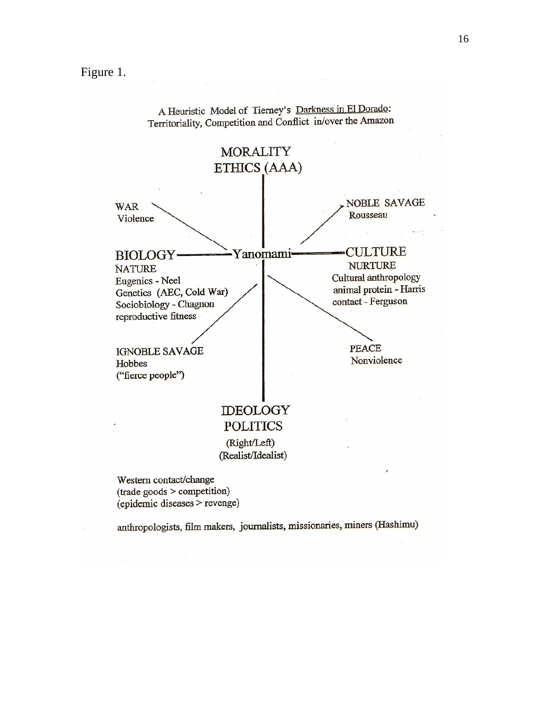Figure 1.



A Heuristic Model of Tierney's Darkness in El Dorado: Territoriality, Competition and Conflict in/over the Amazon

anthropologists, film makers, journalists, missionaries, miners (Hashimu)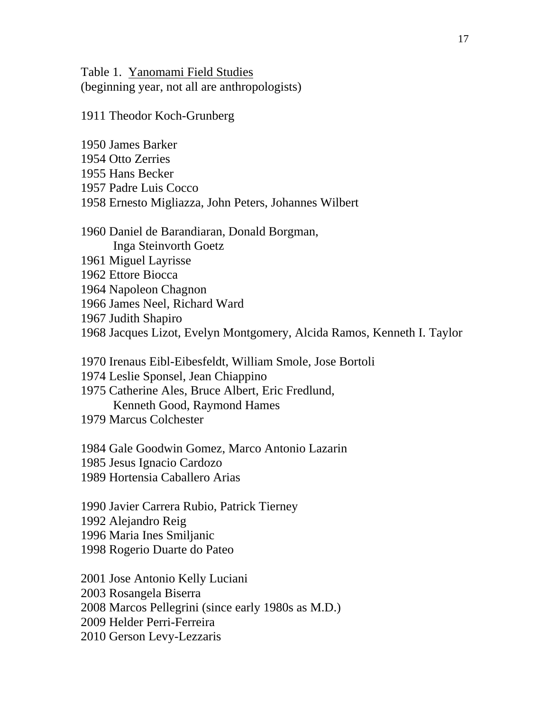Table 1. Yanomami Field Studies (beginning year, not all are anthropologists)

1911 Theodor Koch-Grunberg

1950 James Barker 1954 Otto Zerries 1955 Hans Becker 1957 Padre Luis Cocco 1958 Ernesto Migliazza, John Peters, Johannes Wilbert 1960 Daniel de Barandiaran, Donald Borgman, Inga Steinvorth Goetz 1961 Miguel Layrisse 1962 Ettore Biocca 1964 Napoleon Chagnon 1966 James Neel, Richard Ward 1967 Judith Shapiro 1968 Jacques Lizot, Evelyn Montgomery, Alcida Ramos, Kenneth I. Taylor

1970 Irenaus Eibl-Eibesfeldt, William Smole, Jose Bortoli

1974 Leslie Sponsel, Jean Chiappino

1975 Catherine Ales, Bruce Albert, Eric Fredlund, Kenneth Good, Raymond Hames

1979 Marcus Colchester

1984 Gale Goodwin Gomez, Marco Antonio Lazarin 1985 Jesus Ignacio Cardozo 1989 Hortensia Caballero Arias

1990 Javier Carrera Rubio, Patrick Tierney 1992 Alejandro Reig 1996 Maria Ines Smiljanic 1998 Rogerio Duarte do Pateo

2001 Jose Antonio Kelly Luciani 2003 Rosangela Biserra 2008 Marcos Pellegrini (since early 1980s as M.D.) 2009 Helder Perri-Ferreira 2010 Gerson Levy-Lezzaris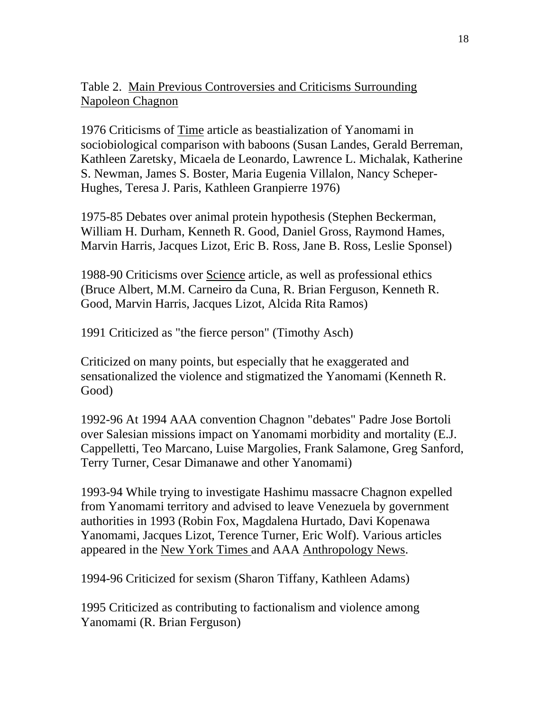# Table 2. Main Previous Controversies and Criticisms Surrounding Napoleon Chagnon

1976 Criticisms of Time article as beastialization of Yanomami in sociobiological comparison with baboons (Susan Landes, Gerald Berreman, Kathleen Zaretsky, Micaela de Leonardo, Lawrence L. Michalak, Katherine S. Newman, James S. Boster, Maria Eugenia Villalon, Nancy Scheper-Hughes, Teresa J. Paris, Kathleen Granpierre 1976)

1975-85 Debates over animal protein hypothesis (Stephen Beckerman, William H. Durham, Kenneth R. Good, Daniel Gross, Raymond Hames, Marvin Harris, Jacques Lizot, Eric B. Ross, Jane B. Ross, Leslie Sponsel)

1988-90 Criticisms over Science article, as well as professional ethics (Bruce Albert, M.M. Carneiro da Cuna, R. Brian Ferguson, Kenneth R. Good, Marvin Harris, Jacques Lizot, Alcida Rita Ramos)

1991 Criticized as "the fierce person" (Timothy Asch)

Criticized on many points, but especially that he exaggerated and sensationalized the violence and stigmatized the Yanomami (Kenneth R. Good)

1992-96 At 1994 AAA convention Chagnon "debates" Padre Jose Bortoli over Salesian missions impact on Yanomami morbidity and mortality (E.J. Cappelletti, Teo Marcano, Luise Margolies, Frank Salamone, Greg Sanford, Terry Turner, Cesar Dimanawe and other Yanomami)

1993-94 While trying to investigate Hashimu massacre Chagnon expelled from Yanomami territory and advised to leave Venezuela by government authorities in 1993 (Robin Fox, Magdalena Hurtado, Davi Kopenawa Yanomami, Jacques Lizot, Terence Turner, Eric Wolf). Various articles appeared in the New York Times and AAA Anthropology News.

1994-96 Criticized for sexism (Sharon Tiffany, Kathleen Adams)

1995 Criticized as contributing to factionalism and violence among Yanomami (R. Brian Ferguson)